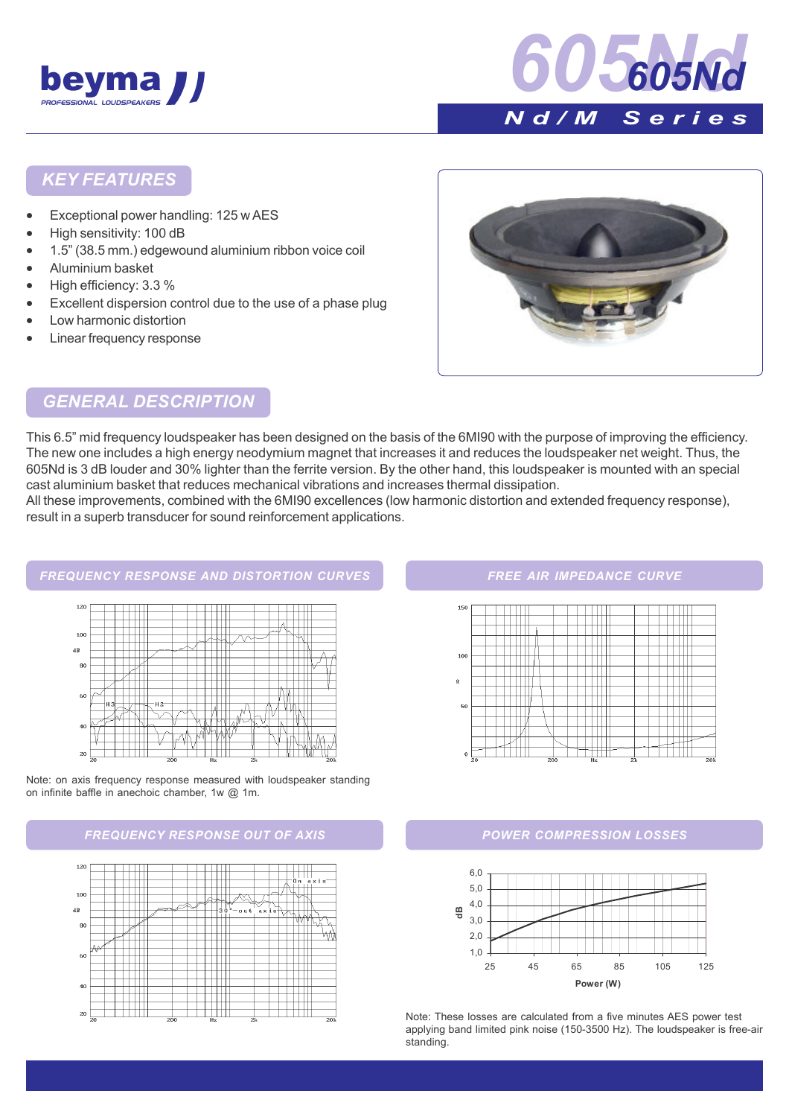



### KEY FEATURES

- Exceptional power handling: 125 w AES
- High sensitivity: 100 dB
- 1.5î (38.5 mm.) edgewound aluminium ribbon voice coil
- Aluminium basket
- High efficiency: 3.3 %
- Excellent dispersion control due to the use of a phase plug
- Low harmonic distortion
- Linear frequency response



## GENERAL DESCRIPTION

This 6.5î mid frequency loudspeaker has been designed on the basis of the 6MI90 with the purpose of improving the efficiency. The new one includes a high energy neodymium magnet that increases it and reduces the loudspeaker net weight. Thus, the 605Nd is 3 dB louder and 30% lighter than the ferrite version. By the other hand, this loudspeaker is mounted with an special cast aluminium basket that reduces mechanical vibrations and increases thermal dissipation.

All these improvements, combined with the 6MI90 excellences (low harmonic distortion and extended frequency response), result in a superb transducer for sound reinforcement applications.

#### FREQUENCY RESPONSE AND DISTORTION CURVES



Note: on axis frequency response measured with loudspeaker standing on infinite baffle in anechoic chamber, 1w @ 1m.

#### FREQUENCY RESPONSE OUT OF AXIS **EXISTE AND SOME AND A POWER COMPRESSION LOSSES**



#### FREE AIR IMPEDANCE CURVE





Note: These losses are calculated from a five minutes AES power test applying band limited pink noise (150-3500 Hz). The loudspeaker is free-air standing.